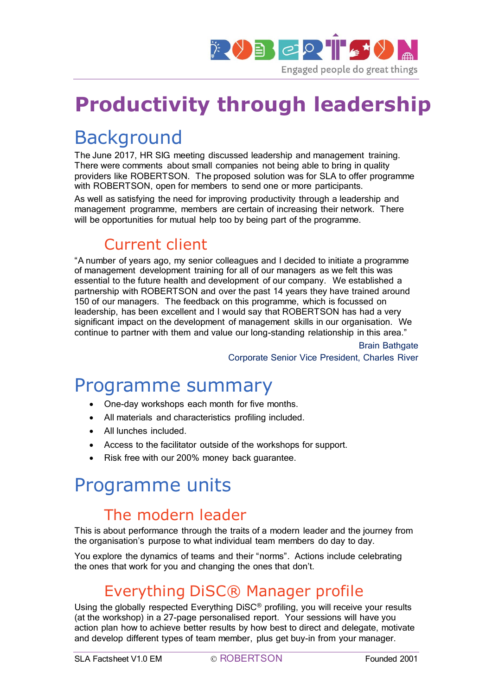

# **Productivity through leadership**

# **Background**

The June 2017, HR SIG meeting discussed leadership and management training. There were comments about small companies not being able to bring in quality providers like ROBERTSON. The proposed solution was for SLA to offer programme with ROBERTSON, open for members to send one or more participants.

As well as satisfying the need for improving productivity through a leadership and management programme, members are certain of increasing their network. There will be opportunities for mutual help too by being part of the programme.

#### Current client

"A number of years ago, my senior colleagues and I decided to initiate a programme of management development training for all of our managers as we felt this was essential to the future health and development of our company. We established a partnership with ROBERTSON and over the past 14 years they have trained around 150 of our managers. The feedback on this programme, which is focussed on leadership, has been excellent and I would say that ROBERTSON has had a very significant impact on the development of management skills in our organisation. We continue to partner with them and value our long-standing relationship in this area."

> Brain Bathgate Corporate Senior Vice President, Charles River

### Programme summary

- One-day workshops each month for five months.
- All materials and characteristics profiling included.
- All lunches included.
- Access to the facilitator outside of the workshops for support.
- Risk free with our 200% money back quarantee.

### Programme units

#### The modern leader

This is about performance through the traits of a modern leader and the journey from the organisation's purpose to what individual team members do day to day.

You explore the dynamics of teams and their "norms". Actions include celebrating the ones that work for you and changing the ones that don't.

#### Everything DiSC® Manager profile

Using the globally respected Everything DiSC<sup>®</sup> profiling, you will receive your results (at the workshop) in a 27-page personalised report. Your sessions will have you action plan how to achieve better results by how best to direct and delegate, motivate and develop different types of team member, plus get buy-in from your manager.